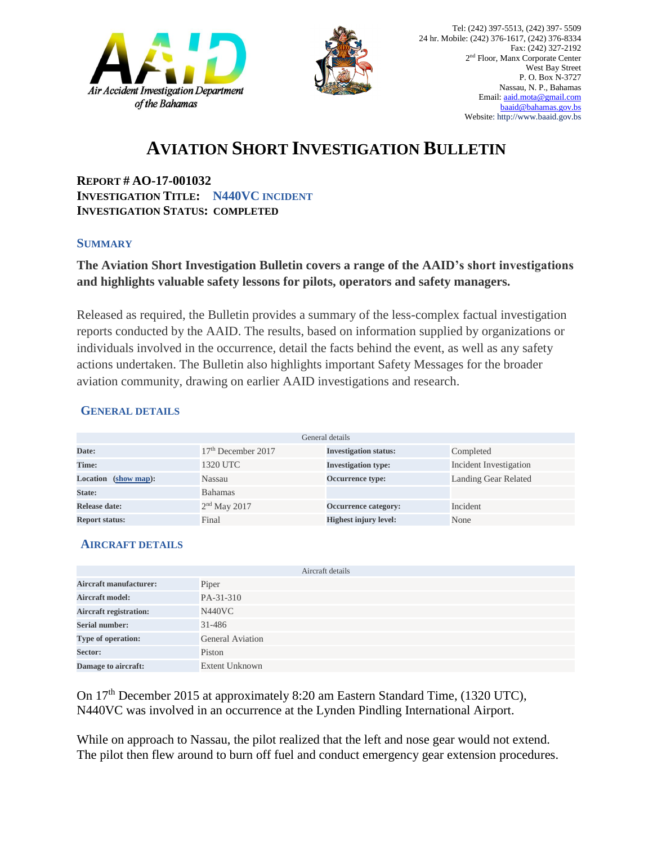



# **AVIATION SHORT INVESTIGATION BULLETIN**

**REPORT # AO-17-001032 INVESTIGATION TITLE: N440VC INCIDENT INVESTIGATION STATUS: COMPLETED**

#### **SUMMARY**

## **The Aviation Short Investigation Bulletin covers a range of the AAID's short investigations and highlights valuable safety lessons for pilots, operators and safety managers.**

Released as required, the Bulletin provides a summary of the less-complex factual investigation reports conducted by the AAID. The results, based on information supplied by organizations or individuals involved in the occurrence, detail the facts behind the event, as well as any safety actions undertaken. The Bulletin also highlights important Safety Messages for the broader aviation community, drawing on earlier AAID investigations and research.

## **GENERAL DETAILS**

| General details       |                      |                              |                        |
|-----------------------|----------------------|------------------------------|------------------------|
| Date:                 | $17th$ December 2017 | <b>Investigation status:</b> | Completed              |
| Time:                 | 1320 UTC             | <b>Investigation type:</b>   | Incident Investigation |
| Location (show map):  | Nassau               | <b>Occurrence type:</b>      | Landing Gear Related   |
| State:                | Bahamas              |                              |                        |
| Release date:         | $2nd$ May 2017       | <b>Occurrence category:</b>  | Incident               |
| <b>Report status:</b> | Final                | <b>Highest injury level:</b> | None                   |

## **AIRCRAFT DETAILS**

|                               | Aircraft details        |
|-------------------------------|-------------------------|
| Aircraft manufacturer:        | Piper                   |
| <b>Aircraft model:</b>        | PA-31-310               |
| <b>Aircraft registration:</b> | N440VC                  |
| <b>Serial number:</b>         | 31-486                  |
| Type of operation:            | <b>General Aviation</b> |
| Sector:                       | Piston                  |
| Damage to aircraft:           | <b>Extent Unknown</b>   |

On 17th December 2015 at approximately 8:20 am Eastern Standard Time, (1320 UTC), N440VC was involved in an occurrence at the Lynden Pindling International Airport.

While on approach to Nassau, the pilot realized that the left and nose gear would not extend. The pilot then flew around to burn off fuel and conduct emergency gear extension procedures.